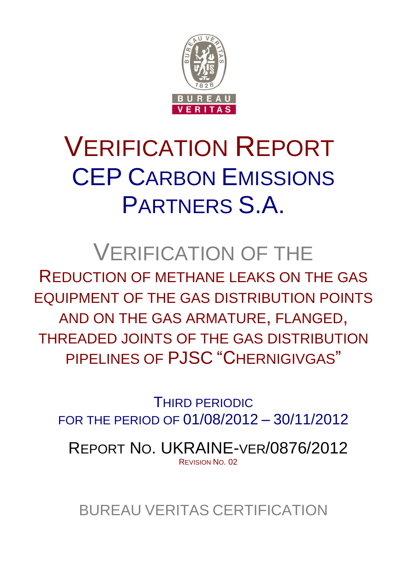

# VERIFICATION REPORT CEP CARBON EMISSIONS PARTNERS S.A.

# VERIFICATION OF THE

REDUCTION OF METHANE LEAKS ON THE GAS EQUIPMENT OF THE GAS DISTRIBUTION POINTS AND ON THE GAS ARMATURE, FLANGED, THREADED JOINTS OF THE GAS DISTRIBUTION PIPELINES OF PJSC "CHERNIGIVGAS"

THIRD PERIODIC FOR THE PERIOD OF 01/08/2012 – 30/11/2012

REPORT NO. UKRAINE-VER/0876/2012 REVISION NO. 02

BUREAU VERITAS CERTIFICATION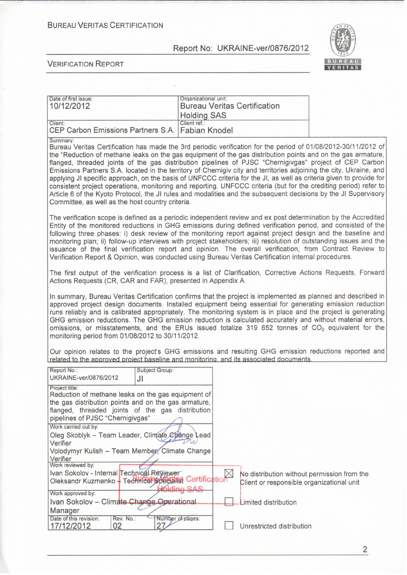**BUREAU VERITAS CERTIFICATION** 

Report No: UKRAINE-ver/0876/2012



**VERIFICATION REPORT** 

| Date of first issue:<br>10/12/2012                          | Organizational unit:<br>Bureau Veritas Certification<br>Holding SAS |  |
|-------------------------------------------------------------|---------------------------------------------------------------------|--|
| Client:<br>CEP Carbon Emissions Partners S.A. Fabian Knodel | Client ref.:                                                        |  |

Summary

Bureau Veritas Certification has made the 3rd periodic verification for the period of 01/08/2012-30/11/2012 of the "Reduction of methane leaks on the gas equipment of the gas distribution points and on the gas armature, flanged, threaded joints of the gas distribution pipelines of PJSC "Chernigivgas" project of CEP Carbon Emissions Partners S.A. located in the territory of Chernigiv city and territories adjoining the city, Ukraine, and applying JI specific approach, on the basis of UNFCCC criteria for the JI, as well as criteria given to provide for consistent project operations, monitoring and reporting. UNFCCC criteria (but for the crediting period) refer to Article 6 of the Kyoto Protocol, the JI rules and modalities and the subsequent decisions by the JI Supervisory Committee, as well as the host country criteria.

The verification scope is defined as a periodic independent review and ex post determination by the Accredited Entity of the monitored reductions in GHG emissions during defined verification period, and consisted of the following three phases: i) desk review of the monitoring report against project design and the baseline and monitoring plan; ii) follow-up interviews with project stakeholders; iii) resolution of outstanding issues and the issuance of the final verification report and opinion. The overall verification, from Contract Review to Verification Report & Opinion, was conducted using Bureau Veritas Certification internal procedures.

The first output of the verification process is a list of Clarification, Corrective Actions Requests, Forward Actions Requests (CR, CAR and FAR), presented in Appendix A.

In summary, Bureau Veritas Certification confirms that the project is implemented as planned and described in approved project design documents. Installed equipment being essential for generating emission reduction runs reliably and is calibrated appropriately. The monitoring system is in place and the project is generating GHG emission reductions. The GHG emission reduction is calculated accurately and without material errors, omissions, or misstatements, and the ERUs issued totalize 319 652 tonnes of  $CO<sub>2</sub>$  equivalent for the monitoring period from 01/08/2012 to 30/11/2012.

Our opinion relates to the project's GHG emissions and resulting GHG emission reductions reported and related to the approved project baseline and monitoring, and its associated documents.

| Report No.:<br>UKRAINE-ver/0876/2012                                                                                       | <b>Subject Group:</b><br>JI                                                                                                                                    |  |                                                                                          |
|----------------------------------------------------------------------------------------------------------------------------|----------------------------------------------------------------------------------------------------------------------------------------------------------------|--|------------------------------------------------------------------------------------------|
| Project title:<br>pipelines of PJSC "Chernigivgas"                                                                         | Reduction of methane leaks on the gas equipment of<br>the gas distribution points and on the gas armature,<br>flanged, threaded joints of the gas distribution |  |                                                                                          |
| Work carried out by:<br>Verifier                                                                                           | Oleg Skoblyk - Team Leader, Climate Change Lead                                                                                                                |  |                                                                                          |
| Volodymyr Kulish - Team Member, Climate Change<br>Verifier                                                                 |                                                                                                                                                                |  |                                                                                          |
| Work reviewed by:<br>Ivan Sokolov - Internal Technical Reviewer<br>Oleksandr Kuzmenko - TechHical Special St Certification |                                                                                                                                                                |  | No distribution without permission from the<br>Client or responsible organizational unit |
| Work approved by:<br>Ivan Sokolov - Climate Change Operational                                                             |                                                                                                                                                                |  | imited distribution                                                                      |
| Manager<br>Date of this revision:<br>Rev. No.:<br>17/12/2012<br>02                                                         | Number of pages:<br>27                                                                                                                                         |  | Unrestricted distribution                                                                |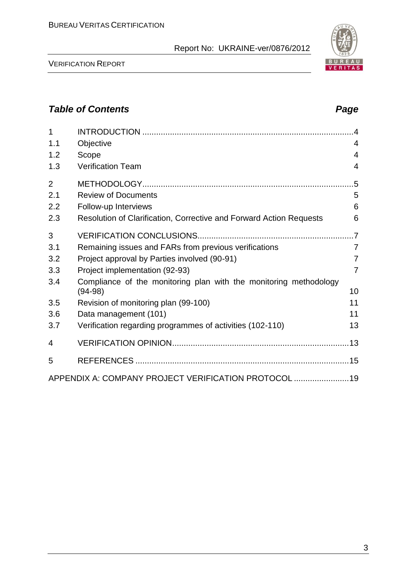VERIFICATION REPORT

APPENDIX A: COMPANY PROJECT VERIFICATION PROTOCOL ........................19



| 1.1<br>1.2<br>1.3 | Objective<br>Scope<br><b>Verification Team</b>                                 | $\overline{4}$<br>$\overline{4}$<br>$\overline{4}$ |
|-------------------|--------------------------------------------------------------------------------|----------------------------------------------------|
| $\overline{2}$    |                                                                                | .5                                                 |
| 2.1               | <b>Review of Documents</b>                                                     | 5                                                  |
| 2.2               | Follow-up Interviews                                                           | 6                                                  |
| 2.3               | Resolution of Clarification, Corrective and Forward Action Requests            | 6                                                  |
| 3                 |                                                                                |                                                    |
| 3.1               | Remaining issues and FARs from previous verifications                          | $\overline{7}$                                     |
| 3.2               | Project approval by Parties involved (90-91)                                   | $\overline{7}$                                     |
| 3.3               | Project implementation (92-93)                                                 | 7                                                  |
| 3.4               | Compliance of the monitoring plan with the monitoring methodology<br>$(94-98)$ | 10                                                 |
| 3.5               | Revision of monitoring plan (99-100)                                           | 11                                                 |
| 3.6               | Data management (101)                                                          | 11                                                 |
| 3.7               | Verification regarding programmes of activities (102-110)                      | 13                                                 |
| 4                 |                                                                                |                                                    |
| 5                 |                                                                                |                                                    |
|                   | ADDENDIY A: COMDANIV DDO IECT VEDIEICATION DDOTOCOL                            | 10                                                 |

1 INTRODUCTION ............................................................................................4

# *Table of Contents Page*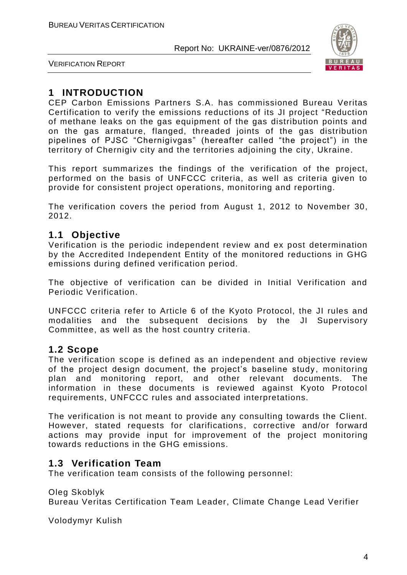

VERIFICATION REPORT

# **1 INTRODUCTION**

CEP Carbon Emissions Partners S.A. has commissioned Bureau Veritas Certification to verify the emissions reductions of its JI project "Reduction of methane leaks on the gas equipment of the gas distribution points and on the gas armature, flanged, threaded joints of the gas distribution pipelines of PJSC "Chernigivgas" (hereafter called "the project") in the territory of Chernigiv city and the territories adjoining the city, Ukraine.

This report summarizes the findings of the verification of the project, performed on the basis of UNFCCC criteria, as well as criteria given to provide for consistent project operations, monitoring and reporting.

The verification covers the period from August 1, 2012 to November 30, 2012.

# **1.1 Objective**

Verification is the periodic independent review and ex post determination by the Accredited Independent Entity of the monitored reductions in GHG emissions during defined verification period.

The objective of verification can be divided in Initial Verification and Periodic Verification.

UNFCCC criteria refer to Article 6 of the Kyoto Protocol, the JI rules and modalities and the subsequent decisions by the JI Supervisory Committee, as well as the host country criteria.

#### **1.2 Scope**

The verification scope is defined as an independent and objective review of the project design document, the project's baseline study, monitoring plan and monitoring report, and other relevant documents. The information in these documents is reviewed against Kyoto Protocol requirements, UNFCCC rules and associated interpretations.

The verification is not meant to provide any consulting towards the Client. However, stated requests for clarifications, corrective and/or forward actions may provide input for improvement of the project monitoring towards reductions in the GHG emissions.

#### **1.3 Verification Team**

The verification team consists of the following personnel:

Oleg Skoblyk Bureau Veritas Certification Team Leader, Climate Change Lead Verifier

Volodymyr Kulish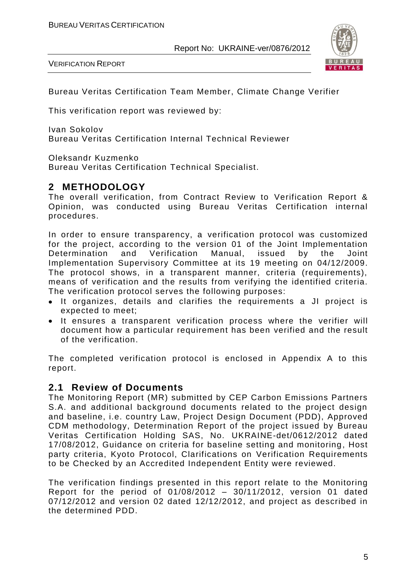VERIFICATION REPORT



Bureau Veritas Certification Team Member, Climate Change Verifier

This verification report was reviewed by:

Ivan Sokolov Bureau Veritas Certification Internal Technical Reviewer

Oleksandr Kuzmenko

Bureau Veritas Certification Technical Specialist.

#### **2 METHODOLOGY**

The overall verification, from Contract Review to Verification Report & Opinion, was conducted using Bureau Veritas Certification internal procedures.

In order to ensure transparency, a verification protocol was customized for the project, according to the version 01 of the Joint Implementation<br>Determination and Verification Manual, issued by the Joint Determination and Verification Manual, issued by the Joint Implementation Supervisory Committee at its 19 meeting on 04/12/2009. The protocol shows, in a transparent manner, criteria (requirements), means of verification and the results from verifying the identified criteria. The verification protocol serves the following purposes:

- It organizes, details and clarifies the requirements a JI project is expected to meet;
- It ensures a transparent verification process where the verifier will document how a particular requirement has been verified and the result of the verification.

The completed verification protocol is enclosed in Appendix A to this report.

#### **2.1 Review of Documents**

The Monitoring Report (MR) submitted by CEP Carbon Emissions Partners S.A. and additional background documents related to the project design and baseline, i.e. country Law, Project Design Document (PDD), Approved CDM methodology, Determination Report of the project issued by Bureau Veritas Certification Holding SAS, No. UKRAINE-det/0612/2012 dated 17/08/2012, Guidance on criteria for baseline setting and monitoring, Host party criteria, Kyoto Protocol, Clarifications on Verification Requirements to be Checked by an Accredited Independent Entity were reviewed.

The verification findings presented in this report relate to the Monitoring Report for the period of 01/08/2012 – 30/11/2012, version 01 dated 07/12/2012 and version 02 dated 12/12/2012, and project as described in the determined PDD.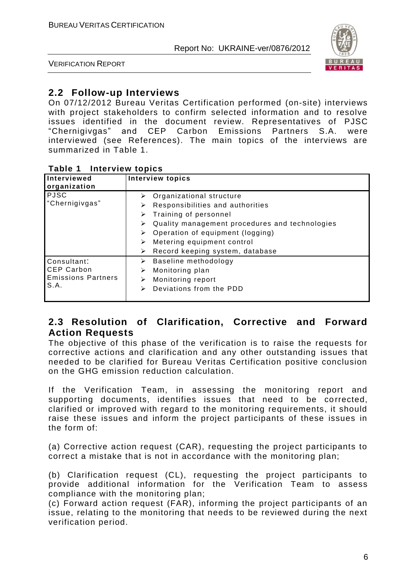

VERIFICATION REPORT

# **2.2 Follow-up Interviews**

On 07/12/2012 Bureau Veritas Certification performed (on-site) interviews with project stakeholders to confirm selected information and to resolve issues identified in the document review. Representatives of PJSC "Chernigivgas" and CEP Carbon Emissions Partners S.A. were interviewed (see References). The main topics of the interviews are summarized in Table 1.

| I ANIE I<br><b>ILIGIVIEW LUPIUS</b> |                                                     |
|-------------------------------------|-----------------------------------------------------|
| Interviewed                         | <b>Interview topics</b>                             |
| organization                        |                                                     |
| <b>PJSC</b>                         | Organizational structure<br>➤                       |
| "Chernigivgas"                      | Responsibilities and authorities<br>⋗               |
|                                     | Training of personnel<br>➤                          |
|                                     | Quality management procedures and technologies<br>➤ |
|                                     | Operation of equipment (logging)<br>➤               |
|                                     | Metering equipment control<br>⋗                     |
|                                     | Record keeping system, database<br>➤                |
| Consultant:                         | Baseline methodology<br>➤                           |
| <b>CEP Carbon</b>                   | Monitoring plan<br>➤                                |
| <b>Emissions Partners</b>           | Monitoring report<br>⋗                              |
| S.A.                                | Deviations from the PDD<br>➤                        |
|                                     |                                                     |

#### **Table 1 Interview topics**

#### **2.3 Resolution of Clarification, Corrective and Forward Action Requests**

The objective of this phase of the verification is to raise the requests for corrective actions and clarification and any other outstanding issues that needed to be clarified for Bureau Veritas Certification positive conclusion on the GHG emission reduction calculation.

If the Verification Team, in assessing the monitoring report and supporting documents, identifies issues that need to be corrected, clarified or improved with regard to the monitoring requirements, it should raise these issues and inform the project participants of these issues in the form of:

(a) Corrective action request (CAR), requesting the project participants to correct a mistake that is not in accordance with the monitoring plan;

(b) Clarification request (CL), requesting the project participants to provide additional information for the Verification Team to assess compliance with the monitoring plan;

(c) Forward action request (FAR), informing the project participants of an issue, relating to the monitoring that needs to be reviewed during the next verification period.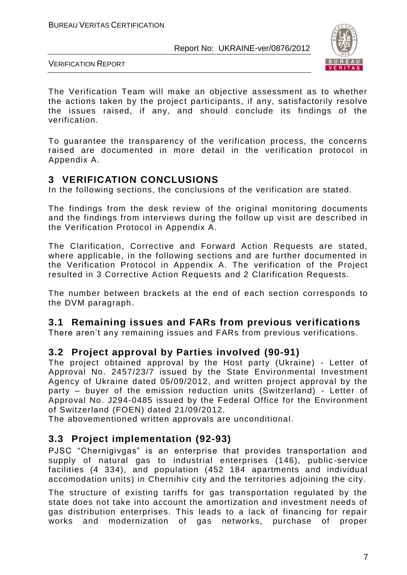

VERIFICATION REPORT

The Verification Team will make an objective assessment as to whether the actions taken by the project participants, if any, satisfactorily resolve the issues raised, if any, and should conclude its findings of the verification.

To guarantee the transparency of the verification process, the concerns raised are documented in more detail in the verification protocol in Appendix A.

# **3 VERIFICATION CONCLUSIONS**

In the following sections, the conclusions of the verification are stated.

The findings from the desk review of the original monitoring documents and the findings from interviews during the follow up visit are described in the Verification Protocol in Appendix A.

The Clarification, Corrective and Forward Action Requests are stated, where applicable, in the following sections and are further documented in the Verification Protocol in Appendix A. The verification of the Project resulted in 3 Corrective Action Requests and 2 Clarification Requests.

The number between brackets at the end of each section corresponds to the DVM paragraph.

# **3.1 Remaining issues and FARs from previous verifications**

There aren't any remaining issues and FARs from previous verifications.

#### **3.2 Project approval by Parties involved (90-91)**

The project obtained approval by the Host party (Ukraine) - Letter of Approval No. 2457/23/7 issued by the State Environmental Investment Agency of Ukraine dated 05/09/2012, and written project approval by the party – buyer of the emission reduction units (Switzerland) - Letter of Approval No. J294-0485 issued by the Federal Office for the Environment of Switzerland (FOEN) dated 21/09/2012.

The abovementioned written approvals are unconditional.

# **3.3 Project implementation (92-93)**

PJSC "Chernigivgas" is an enterprise that provides transportation and supply of natural gas to industrial enterprises (146), public-service facilities (4 334), and population (452 184 apartments and individual accomodation units) in Chernihiv city and the territories adjoining the city.

The structure of existing tariffs for gas transportation regulated by the state does not take into account the amortization and investment needs of gas distribution enterprises. This leads to a lack of financing for repair works and modernization of gas networks, purchase of proper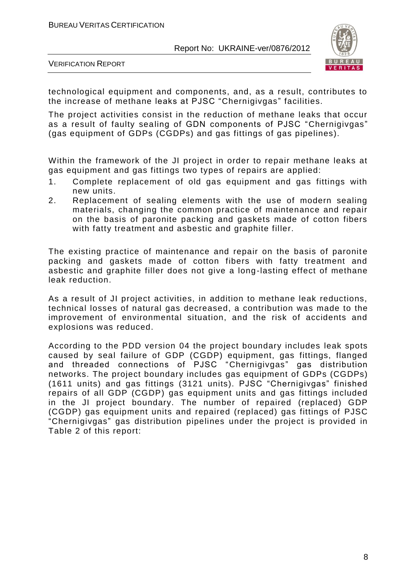

VERIFICATION REPORT

technological equipment and components, and, as a result, contributes to the increase of methane leaks at PJSC "Chernigivgas" facilities.

The project activities consist in the reduction of methane leaks that occur as a result of faulty sealing of GDN components of PJSC "Chernigivgas" (gas equipment of GDPs (CGDPs) and gas fittings of gas pipelines).

Within the framework of the JI project in order to repair methane leaks at gas equipment and gas fittings two types of repairs are applied:

- 1. Complete replacement of old gas equipment and gas fittings with new units.
- 2. Replacement of sealing elements with the use of modern sealing materials, changing the common practice of maintenance and repair on the basis of paronite packing and gaskets made of cotton fibers with fatty treatment and asbestic and graphite filler.

The existing practice of maintenance and repair on the basis of paronite packing and gaskets made of cotton fibers with fatty treatment and asbestic and graphite filler does not give a long-lasting effect of methane leak reduction.

As a result of JI project activities, in addition to methane leak reductions, technical losses of natural gas decreased, a contribution was made to the improvement of environmental situation, and the risk of accidents and explosions was reduced.

According to the PDD version 04 the project boundary includes leak spots caused by seal failure of GDP (CGDP) equipment, gas fittings, flanged and threaded connections of PJSC "Chernigivgas" gas distribution networks. The project boundary includes gas equipment of GDPs (CGDPs) (1611 units) and gas fittings (3121 units). PJSC "Chernigivgas" finished repairs of all GDP (CGDP) gas equipment units and gas fittings included in the JI project boundary. The number of repaired (replaced) GDP (CGDP) gas equipment units and repaired (replaced) gas fittings of PJSC "Chernigivgas" gas distribution pipelines under the project is provided in Table 2 of this report: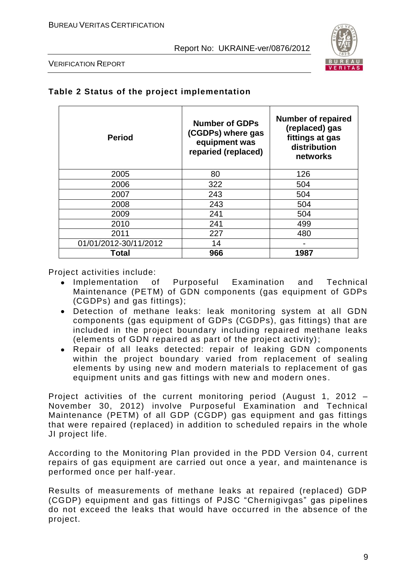

VERIFICATION REPORT

| <b>Period</b>         | <b>Number of GDPs</b><br>(CGDPs) where gas<br>equipment was<br>reparied (replaced) | <b>Number of repaired</b><br>(replaced) gas<br>fittings at gas<br>distribution<br>networks |
|-----------------------|------------------------------------------------------------------------------------|--------------------------------------------------------------------------------------------|
| 2005                  | 80                                                                                 | 126                                                                                        |
| 2006                  | 322                                                                                | 504                                                                                        |
| 2007                  | 243                                                                                | 504                                                                                        |
| 2008                  | 243                                                                                | 504                                                                                        |
| 2009                  | 241                                                                                | 504                                                                                        |
| 2010                  | 241                                                                                | 499                                                                                        |
| 2011                  | 227                                                                                | 480                                                                                        |
| 01/01/2012-30/11/2012 | 14                                                                                 |                                                                                            |
| Total                 | 966                                                                                | 1987                                                                                       |

#### **Table 2 Status of the project implementation**

Project activities include:

- Implementation of Purposeful Examination and Technical Maintenance (PETM) of GDN components (gas equipment of GDPs (CGDPs) and gas fittings);
- Detection of methane leaks: leak monitoring system at all GDN components (gas equipment of GDPs (CGDPs), gas fittings) that are included in the project boundary including repaired methane leaks (elements of GDN repaired as part of the project activity);
- Repair of all leaks detected: repair of leaking GDN components within the project boundary varied from replacement of sealing elements by using new and modern materials to replacement of gas equipment units and gas fittings with new and modern ones .

Project activities of the current monitoring period (August 1, 2012 – November 30, 2012) involve Purposeful Examination and Technical Maintenance (PETM) of all GDP (CGDP) gas equipment and gas fittings that were repaired (replaced) in addition to scheduled repairs in the whole JI project life.

According to the Monitoring Plan provided in the PDD Version 04, current repairs of gas equipment are carried out once a year, and maintenance is performed once per half-year.

Results of measurements of methane leaks at repaired (replaced) GDP (CGDP) equipment and gas fittings of PJSC "Chernigivgas" gas pipelines do not exceed the leaks that would have occurred in the absence of the project.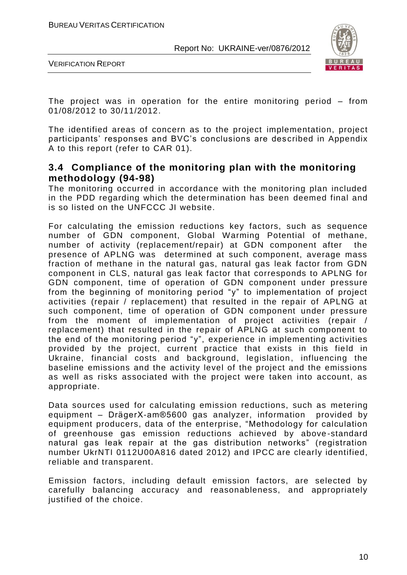

VERIFICATION REPORT

The project was in operation for the entire monitoring period – from 01/08/2012 to 30/11/2012.

The identified areas of concern as to the project implementation, project participants' responses and BVC's conclusions are des cribed in Appendix A to this report (refer to CAR 01).

#### **3.4 Compliance of the monitoring plan with the monitoring methodology (94-98)**

The monitoring occurred in accordance with the monitoring plan included in the PDD regarding which the determination has been deemed final and is so listed on the UNFCCC JI website.

For calculating the emission reductions key factors, such as sequence number of GDN component, Global Warming Potential of methane, number of activity (replacement/repair) at GDN component after the presence of APLNG was determined at such component, average mass fraction of methane in the natural gas, natural gas leak factor from GDN component in CLS, natural gas leak factor that corresponds to APLNG for GDN component, time of operation of GDN component under pressure from the beginning of monitoring period "y" to implementation of project activities (repair / replacement) that resulted in the repair of APLNG at such component, time of operation of GDN component under pressure from the moment of implementation of project activities (repair / replacement) that resulted in the repair of APLNG at such component to the end of the monitoring period "y", experience in implementing activities provided by the project, current practice that exists in this field in Ukraine, financial costs and background, legislation, influencing the baseline emissions and the activity level of the project and the emissions as well as risks associated with the project were taken into account, as appropriate.

Data sources used for calculating emission reductions, such as metering equipment – [DrägerX-am®5600](http://www.draeger.com/AU/en/products/gas_detection/portable/multi/cin_x-am_5600.jsp) gas analyzer, information provided by equipment producers, data of the enterprise, "Methodology for calculation of greenhouse gas emission reductions achieved by above -standard natural gas leak repair at the gas distribution networks" (registration number UkrNTI 0112U00A816 dated 2012) and IPCC are clearly identified, reliable and transparent.

Emission factors, including default emission factors, are selected by carefully balancing accuracy and reasonableness, and appropriately justified of the choice.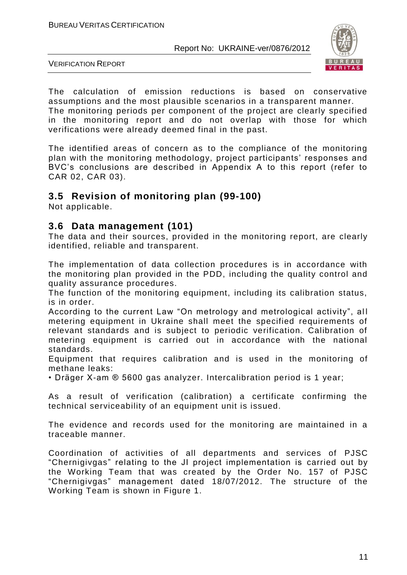

VERIFICATION REPORT

The calculation of emission reductions is based on conservative assumptions and the most plausible scenarios in a transparent manner.

The monitoring periods per component of the project are clearly specified in the monitoring report and do not overlap with those for which verifications were already deemed final in the past.

The identified areas of concern as to the compliance of the monitoring plan with the monitoring methodology, project participants' responses and BVC's conclusions are described in Appendix A to this report (refer to CAR 02, CAR 03).

# **3.5 Revision of monitoring plan (99-100)**

Not applicable.

#### **3.6 Data management (101)**

The data and their sources, provided in the monitoring report, are clearly identified, reliable and transparent.

The implementation of data collection procedures is in accordance with the monitoring plan provided in the PDD, including the quality control and quality assurance procedures.

The function of the monitoring equipment, including its calibration status, is in order.

According to the current Law "On metrology and metrological activity", all metering equipment in Ukraine shall meet the specified requirements of relevant standards and is subject to periodic verification. Calibration of metering equipment is carried out in accordance with the national standards.

Equipment that requires calibration and is used in the monitoring of methane leaks:

• Dräger X-am ® 5600 gas analyzer. Intercalibration period is 1 year;

As a result of verification (calibration) a certificate confirming the technical serviceability of an equipment unit is issued.

The evidence and records used for the monitoring are maintained in a traceable manner.

Coordination of activities of all departments and services of PJSC "Chernigivgas" relating to the JI project implementation is carried out by the Working Team that was created by the Order No. 157 of PJSC "Chernigivgas" management dated 18/07/2012. The structure of the Working Team is shown in Figure 1.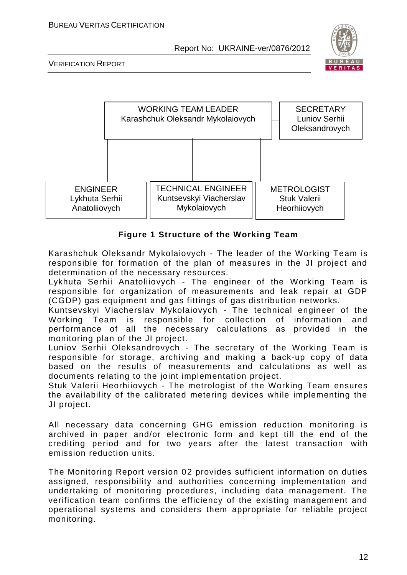

VERIFICATION REPORT



#### **Figure 1 Structure of the Working Team**

Karashchuk Oleksandr Mykolaiovych - The leader of the Working Team is responsible for formation of the plan of measures in the JI project and determination of the necessary resources.

Lykhuta Serhii Anatoliiovych - The engineer of the Working Team is responsible for organization of measurements and leak repair at GDP (CGDP) gas equipment and gas fittings of gas distribution networks.

Kuntsevskyi Viacherslav Mykolaiovych - The technical engineer of the Working Team is responsible for collection of information and performance of all the necessary calculations as provided in the monitoring plan of the JI project.

Luniov Serhii Oleksandrovych - The secretary of the Working Team is responsible for storage, archiving and making a back-up copy of data based on the results of measurements and calculations as well as documents relating to the joint implementation project.

Stuk Valerii Heorhiiovych - The metrologist of the Working Team ensures the availability of the calibrated metering devices while implementing the JI project.

All necessary data concerning GHG emission reduction monitoring is archived in paper and/or electronic form and kept till the end of the crediting period and for two years after the latest transaction with emission reduction units.

The Monitoring Report version 02 provides sufficient information on duties assigned, responsibility and authorities concerning implementation and undertaking of monitoring procedures, including data management. The verification team confirms the efficiency of the existing management and operational systems and considers them appropriate for reliable project monitoring.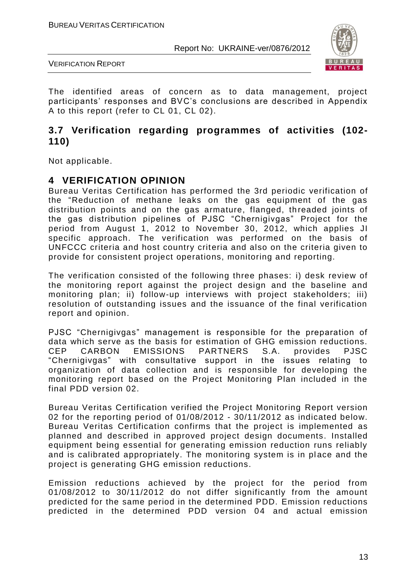



The identified areas of concern as to data management, project participants' responses and BVC's conclusions are described in Appendix A to this report (refer to CL 01, CL 02).

#### **3.7 Verification regarding programmes of activities (102- 110)**

Not applicable.

#### **4 VERIFICATION OPINION**

Bureau Veritas Certification has performed the 3rd periodic verification of the "Reduction of methane leaks on the gas equipment of the gas distribution points and on the gas armature, flanged, threaded joints of the gas distribution pipelines of PJSC "Chernigivgas" Project for the period from August 1, 2012 to November 30, 2012, which applies JI specific approach. The verification was performed on the basis of UNFCCC criteria and host country criteria and also on the criteria given to provide for consistent project operations, monitoring and reporting.

The verification consisted of the following three phases: i) desk review of the monitoring report against the project design and the baseline and monitoring plan; ii) follow-up interviews with project stakeholders; iii) resolution of outstanding issues and the issuance of the final verification report and opinion.

PJSC "Chernigivgas" management is responsible for the preparation of data which serve as the basis for estimation of GHG emission reductions. CEP CARBON EMISSIONS PARTNERS S.A. provides PJSC "Chernigivgas" with consultative support in the issues relating to organization of data collection and is responsible for developing the monitoring report based on the Project Monitoring Plan included in the final PDD version 02.

Bureau Veritas Certification verified the Project Monitoring Report version 02 for the reporting period of 01/08/2012 - 30/11/2012 as indicated below. Bureau Veritas Certification confirms that the project is implemented as planned and described in approved project design documents. Installed equipment being essential for generating emission reduction runs reliably and is calibrated appropriately. The monitoring system is in place and the project is generating GHG emission reductions.

Emission reductions achieved by the project for the period from 01/08/2012 to 30/11/2012 do not differ significantly from the amount predicted for the same period in the determined PDD. Emission reductions predicted in the determined PDD version 04 and actual emission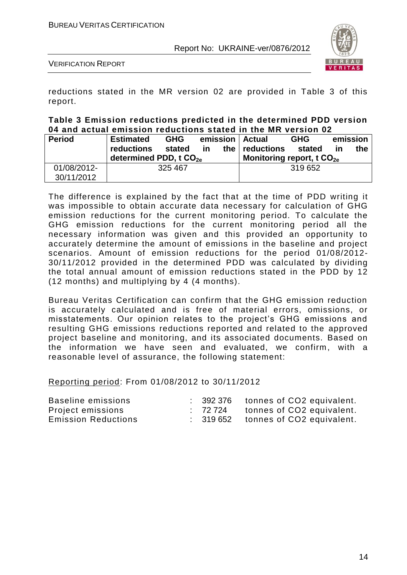

VERIFICATION REPORT

reductions stated in the MR version 02 are provided in Table 3 of this report.

#### **Table 3 Emission reductions predicted in the determined PDD version 04 and actual emission reductions stated in the MR version 02**

| <b>Period</b> | <b>Estimated</b>                   | <b>GHG</b><br>emission   Actual |           |       | <b>GHG</b>                  | emission |    |     |
|---------------|------------------------------------|---------------------------------|-----------|-------|-----------------------------|----------|----|-----|
|               | reductions                         | stated                          | <b>in</b> | the I | reductions                  | stated   | ın | the |
|               | determined PDD, t CO <sub>2e</sub> |                                 |           |       | Monitoring report, t $CO2e$ |          |    |     |
| 01/08/2012-   | 325 467                            |                                 |           |       | 319652                      |          |    |     |
| 30/11/2012    |                                    |                                 |           |       |                             |          |    |     |

The difference is explained by the fact that at the time of PDD writing it was impossible to obtain accurate data necessary for calculation of GHG emission reductions for the current monitoring period. To calculate the GHG emission reductions for the current monitoring period all the necessary information was given and this provided an opportunity to accurately determine the amount of emissions in the baseline and project scenarios. Amount of emission reductions for the period 01/08/2012- 30/11/2012 provided in the determined PDD was calculated by dividing the total annual amount of emission reductions stated in the PDD by 12 (12 months) and multiplying by 4 (4 months).

Bureau Veritas Certification can confirm that the GHG emission reduction is accurately calculated and is free of material errors, omissions, or misstatements. Our opinion relates to the project's GHG emissions and resulting GHG emissions reductions reported and related to the approved project baseline and monitoring, and its associated documents. Based on the information we have seen and evaluated, we confirm, with a reasonable level of assurance, the following statement:

Reporting period: From 01/08/2012 to 30/11/2012

| Baseline emissions         | 392 376 | tonnes of CO2 equivalent.                     |
|----------------------------|---------|-----------------------------------------------|
| Project emissions          | : 72724 | tonnes of CO2 equivalent.                     |
| <b>Emission Reductions</b> |         | $\therefore$ 319652 tonnes of CO2 equivalent. |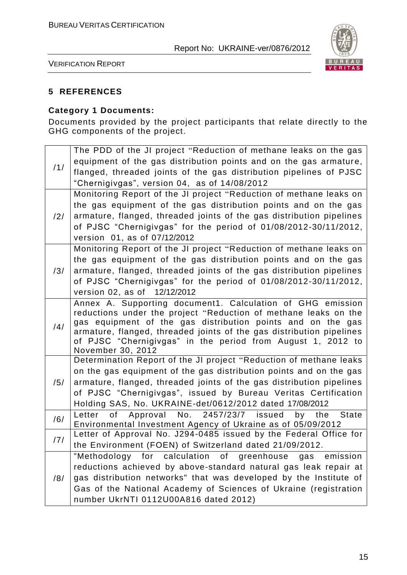

VERIFICATION REPORT

#### **5 REFERENCES**

#### **Category 1 Documents:**

Documents provided by the project participants that relate directly to the GHG components of the project.

|     | The PDD of the JI project "Reduction of methane leaks on the gas                                                                    |
|-----|-------------------------------------------------------------------------------------------------------------------------------------|
|     | equipment of the gas distribution points and on the gas armature,                                                                   |
| /1/ | flanged, threaded joints of the gas distribution pipelines of PJSC                                                                  |
|     | "Chernigivgas", version 04, as of 14/08/2012                                                                                        |
|     | Monitoring Report of the JI project "Reduction of methane leaks on                                                                  |
|     | the gas equipment of the gas distribution points and on the gas                                                                     |
| /2/ | armature, flanged, threaded joints of the gas distribution pipelines                                                                |
|     | of PJSC "Chernigivgas" for the period of 01/08/2012-30/11/2012,                                                                     |
|     | version 01, as of 07/12/2012                                                                                                        |
|     | Monitoring Report of the JI project "Reduction of methane leaks on                                                                  |
|     | the gas equipment of the gas distribution points and on the gas                                                                     |
| /3/ | armature, flanged, threaded joints of the gas distribution pipelines                                                                |
|     | of PJSC "Chernigivgas" for the period of 01/08/2012-30/11/2012,                                                                     |
|     | version 02, as of 12/12/2012                                                                                                        |
|     | Annex A. Supporting document1. Calculation of GHG emission                                                                          |
|     | reductions under the project "Reduction of methane leaks on the                                                                     |
| /4/ | gas equipment of the gas distribution points and on the gas<br>armature, flanged, threaded joints of the gas distribution pipelines |
|     | of PJSC "Chernigivgas" in the period from August 1, 2012 to                                                                         |
|     | November 30, 2012                                                                                                                   |
|     | Determination Report of the JI project "Reduction of methane leaks                                                                  |
|     | on the gas equipment of the gas distribution points and on the gas                                                                  |
| /5/ | armature, flanged, threaded joints of the gas distribution pipelines                                                                |
|     | of PJSC "Chernigivgas", issued by Bureau Veritas Certification                                                                      |
|     | Holding SAS, No. UKRAINE-det/0612/2012 dated 17/08/2012                                                                             |
| /6/ | No. 2457/23/7 issued<br>Approval<br><b>State</b><br>Letter<br>of<br>by<br>the                                                       |
|     | Environmental Investment Agency of Ukraine as of 05/09/2012                                                                         |
| /7/ | Letter of Approval No. J294-0485 issued by the Federal Office for                                                                   |
|     | the Environment (FOEN) of Switzerland dated 21/09/2012.                                                                             |
|     | "Methodology for calculation of greenhouse gas emission                                                                             |
|     | reductions achieved by above-standard natural gas leak repair at                                                                    |
| /8/ | gas distribution networks" that was developed by the Institute of                                                                   |
|     | Gas of the National Academy of Sciences of Ukraine (registration                                                                    |
|     | number UkrNTI 0112U00A816 dated 2012)                                                                                               |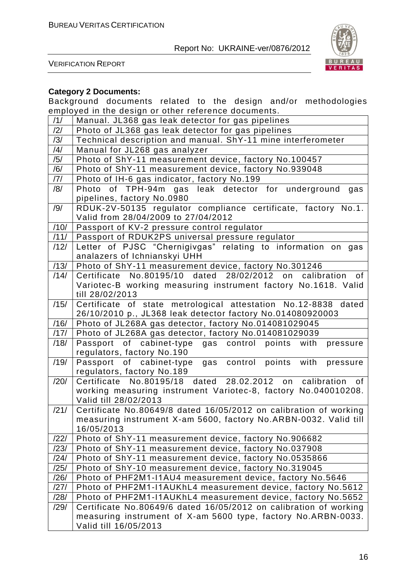

VERIFICATION REPORT

#### **Category 2 Documents:**

Background documents related to the design and/or methodologies employed in the design or other reference documents.

| /1/  | Manual. JL368 gas leak detector for gas pipelines                                                                                                        |  |  |
|------|----------------------------------------------------------------------------------------------------------------------------------------------------------|--|--|
| /2/  | Photo of JL368 gas leak detector for gas pipelines                                                                                                       |  |  |
| /3/  | Technical description and manual. ShY-11 mine interferometer                                                                                             |  |  |
| /4/  | Manual for JL268 gas analyzer                                                                                                                            |  |  |
| /5/  | Photo of ShY-11 measurement device, factory No.100457                                                                                                    |  |  |
| /6/  | Photo of ShY-11 measurement device, factory No.939048                                                                                                    |  |  |
| 7    | Photo of IH-6 gas indicator, factory No.199                                                                                                              |  |  |
| /8/  | Photo of TPH-94m gas leak detector for underground<br>gas<br>pipelines, factory No.0980                                                                  |  |  |
| /9/  | RDUK-2V-50135 regulator compliance certificate, factory No.1.<br>Valid from 28/04/2009 to 27/04/2012                                                     |  |  |
| /10/ | Passport of KV-2 pressure control regulator                                                                                                              |  |  |
| /11/ | Passport of RDUK2PS universal pressure regulator                                                                                                         |  |  |
| /12/ | Letter of PJSC "Chernigivgas" relating to information on gas<br>analazers of Ichnianskyi UHH                                                             |  |  |
| /13/ | Photo of ShY-11 measurement device, factory No.301246                                                                                                    |  |  |
| /14/ | Certificate No.80195/10 dated 28/02/2012 on calibration<br>of<br>Variotec-B working measuring instrument factory No.1618. Valid<br>till 28/02/2013       |  |  |
| /15/ | Certificate of state metrological attestation No.12-8838 dated<br>26/10/2010 p., JL368 leak detector factory No.014080920003                             |  |  |
| /16/ | Photo of JL268A gas detector, factory No.014081029045                                                                                                    |  |  |
| /17/ | Photo of JL268A gas detector, factory No.014081029039                                                                                                    |  |  |
| /18/ | Passport of cabinet-type gas control points with<br>pressure<br>regulators, factory No.190                                                               |  |  |
| /19/ | Passport of cabinet-type<br>control points with<br>gas<br>pressure<br>regulators, factory No.189                                                         |  |  |
| /20/ | Certificate No.80195/18 dated 28.02.2012 on calibration<br>of<br>working measuring instrument Variotec-8, factory No.040010208.<br>Valid till 28/02/2013 |  |  |
| /21/ | Certificate No.80649/8 dated 16/05/2012 on calibration of working<br>measuring instrument X-am 5600, factory No.ARBN-0032. Valid till<br>16/05/2013      |  |  |
| /22/ | Photo of ShY-11 measurement device, factory No.906682                                                                                                    |  |  |
| /23/ | Photo of ShY-11 measurement device, factory No.037908                                                                                                    |  |  |
| /24/ | Photo of ShY-11 measurement device, factory No.0535866                                                                                                   |  |  |
| /25/ | Photo of ShY-10 measurement device, factory No.319045                                                                                                    |  |  |
| /26/ | Photo of PHF2M1-I1AU4 measurement device, factory No.5646                                                                                                |  |  |
| /27/ | Photo of PHF2M1-I1AUKhL4 measurement device, factory No.5612                                                                                             |  |  |
| /28/ | Photo of PHF2M1-I1AUKhL4 measurement device, factory No.5652                                                                                             |  |  |
| /29/ | Certificate No.80649/6 dated 16/05/2012 on calibration of working                                                                                        |  |  |
|      | measuring instrument of X-am 5600 type, factory No.ARBN-0033.<br>Valid till 16/05/2013                                                                   |  |  |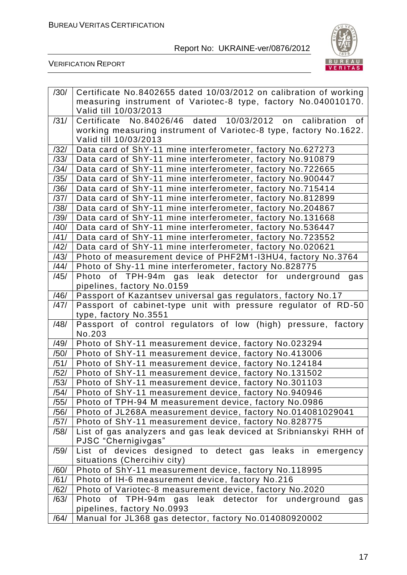

VERIFICATION REPORT

| /30/ | Certificate No.8402655 dated 10/03/2012 on calibration of working  |
|------|--------------------------------------------------------------------|
|      | measuring instrument of Variotec-8 type, factory No.040010170.     |
|      | Valid till 10/03/2013                                              |
| /31/ | Certificate No.84026/46 dated 10/03/2012 on calibration of         |
|      | working measuring instrument of Variotec-8 type, factory No.1622.  |
|      | Valid till 10/03/2013                                              |
| /32/ | Data card of ShY-11 mine interferometer, factory No.627273         |
| /33/ | Data card of ShY-11 mine interferometer, factory No.910879         |
| /34/ | Data card of ShY-11 mine interferometer, factory No.722665         |
| /35/ | Data card of ShY-11 mine interferometer, factory No.900447         |
| /36/ | Data card of ShY-11 mine interferometer, factory No.715414         |
| /37/ | Data card of ShY-11 mine interferometer, factory No.812899         |
| /38/ | Data card of ShY-11 mine interferometer, factory No.204867         |
| /39/ | Data card of ShY-11 mine interferometer, factory No.131668         |
| /40/ | Data card of ShY-11 mine interferometer, factory No.536447         |
| /41/ | Data card of ShY-11 mine interferometer, factory No.723552         |
| /42/ | Data card of ShY-11 mine interferometer, factory No.020621         |
| /43/ | Photo of measurement device of PHF2M1-I3HU4, factory No.3764       |
| /44/ | Photo of Shy-11 mine interferometer, factory No.828775             |
| /45/ | Photo of TPH-94m gas leak detector for underground<br>gas          |
|      | pipelines, factory No.0159                                         |
| /46/ | Passport of Kazantsev universal gas regulators, factory No.17      |
| /47/ | Passport of cabinet-type unit with pressure regulator of RD-50     |
|      | type, factory No.3551                                              |
| /48/ | Passport of control regulators of low (high) pressure, factory     |
|      | No.203                                                             |
| /49/ | Photo of ShY-11 measurement device, factory No.023294              |
| /50/ | Photo of ShY-11 measurement device, factory No.413006              |
| /51/ | Photo of ShY-11 measurement device, factory No.124184              |
| /52/ | Photo of ShY-11 measurement device, factory No.131502              |
| /53/ | Photo of ShY-11 measurement device, factory No.301103              |
| /54/ | Photo of ShY-11 measurement device, factory No.940946              |
| /55/ | Photo of TPH-94 M measurement device, factory No.0986              |
| /56/ | Photo of JL268A measurement device, factory No.014081029041        |
| /57/ | Photo of ShY-11 measurement device, factory No.828775              |
| /58/ | List of gas analyzers and gas leak deviced at Sribnianskyi RHH of  |
|      | PJSC "Chernigivgas"                                                |
| /59/ | List of devices designed to detect gas leaks in emergency          |
|      | situations (Chercihiv city)                                        |
| /60/ | Photo of ShY-11 measurement device, factory No.118995              |
| /61/ | Photo of IH-6 measurement device, factory No.216                   |
| /62/ | Photo of Variotec-8 measurement device, factory No.2020            |
| /63/ | of TPH-94m<br>gas leak detector for<br>Photo<br>underground<br>gas |
|      | pipelines, factory No.0993                                         |
| /64/ | Manual for JL368 gas detector, factory No.014080920002             |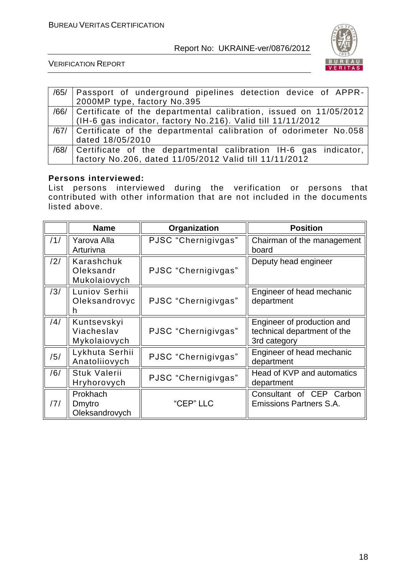

VERIFICATION REPORT

| /65/ | Passport of underground pipelines detection device of APPR-            |
|------|------------------------------------------------------------------------|
|      | 2000MP type, factory No.395                                            |
|      | /66/ Certificate of the departmental calibration, issued on 11/05/2012 |
|      | (IH-6 gas indicator, factory No.216). Valid till 11/11/2012            |
|      | /67/ Certificate of the departmental calibration of odorimeter No.058  |
|      | dated 18/05/2010                                                       |
|      | /68/ Certificate of the departmental calibration IH-6 gas indicator,   |
|      | factory No.206, dated 11/05/2012 Valid till 11/11/2012                 |

#### **Persons interviewed:**

List persons interviewed during the verification or persons that contributed with other information that are not included in the documents listed above.

|     | <b>Name</b>                               | Organization        | <b>Position</b>                                                           |
|-----|-------------------------------------------|---------------------|---------------------------------------------------------------------------|
| /1/ | Yarova Alla<br>Arturivna                  | PJSC "Chernigivgas" | Chairman of the management<br>board                                       |
| /2/ | Karashchuk<br>Oleksandr<br>Mukolaiovych   | PJSC "Chernigivgas" | Deputy head engineer                                                      |
| /3/ | Luniov Serhii<br>Oleksandrovyc<br>h       | PJSC "Chernigivgas" | Engineer of head mechanic<br>department                                   |
| /4/ | Kuntsevskyi<br>Viacheslav<br>Mykolaiovych | PJSC "Chernigivgas" | Engineer of production and<br>technical department of the<br>3rd category |
| /5/ | Lykhuta Serhii<br>Anatoliiovych           | PJSC "Chernigivgas" | Engineer of head mechanic<br>department                                   |
| /6/ | <b>Stuk Valerii</b><br>Hryhorovych        | PJSC "Chernigivgas" | Head of KVP and automatics<br>department                                  |
| /7/ | Prokhach<br>Dmytro<br>Oleksandrovych      | "CEP" LLC           | Consultant of CEP Carbon<br><b>Emissions Partners S.A.</b>                |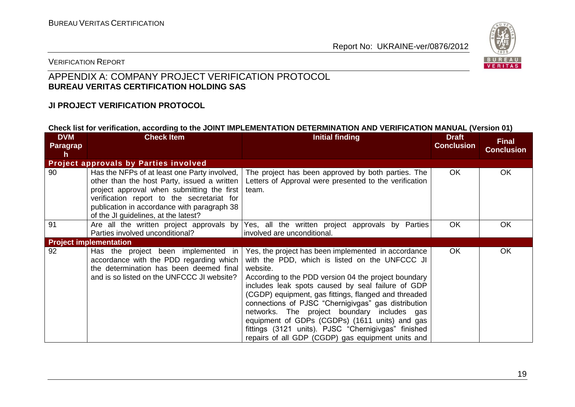

#### VERIFICATION REPORT

#### APPENDIX A: COMPANY PROJECT VERIFICATION PROTOCOL **BUREAU VERITAS CERTIFICATION HOLDING SAS**

#### **JI PROJECT VERIFICATION PROTOCOL**

#### **Check list for verification, according to the JOINT IMPLEMENTATION DETERMINATION AND VERIFICATION MANUAL (Version 01)**

| <b>DVM</b><br>Paragrap<br>h | <b>Check Item</b>                                                                                                                                                                                                                                                              | <b>Initial finding</b>                                                                                                                                                                                                                                                                                                                                                                                                                                                                                                                                     | <b>Draft</b><br><b>Conclusion</b> | <b>Final</b><br><b>Conclusion</b> |
|-----------------------------|--------------------------------------------------------------------------------------------------------------------------------------------------------------------------------------------------------------------------------------------------------------------------------|------------------------------------------------------------------------------------------------------------------------------------------------------------------------------------------------------------------------------------------------------------------------------------------------------------------------------------------------------------------------------------------------------------------------------------------------------------------------------------------------------------------------------------------------------------|-----------------------------------|-----------------------------------|
|                             | <b>Project approvals by Parties involved</b>                                                                                                                                                                                                                                   |                                                                                                                                                                                                                                                                                                                                                                                                                                                                                                                                                            |                                   |                                   |
| 90                          | Has the NFPs of at least one Party involved,<br>other than the host Party, issued a written<br>project approval when submitting the first<br>verification report to the secretariat for<br>publication in accordance with paragraph 38<br>of the JI guidelines, at the latest? | The project has been approved by both parties. The<br>Letters of Approval were presented to the verification<br>team.                                                                                                                                                                                                                                                                                                                                                                                                                                      | OK.                               | OK                                |
| 91                          | Parties involved unconditional?                                                                                                                                                                                                                                                | Are all the written project approvals by Yes, all the written project approvals by Parties<br>involved are unconditional.                                                                                                                                                                                                                                                                                                                                                                                                                                  | <b>OK</b>                         | OK                                |
|                             | <b>Project implementation</b>                                                                                                                                                                                                                                                  |                                                                                                                                                                                                                                                                                                                                                                                                                                                                                                                                                            |                                   |                                   |
| 92                          | Has the project been implemented in<br>accordance with the PDD regarding which<br>the determination has been deemed final<br>and is so listed on the UNFCCC JI website?                                                                                                        | Yes, the project has been implemented in accordance<br>with the PDD, which is listed on the UNFCCC JI<br>website.<br>According to the PDD version 04 the project boundary<br>includes leak spots caused by seal failure of GDP<br>(CGDP) equipment, gas fittings, flanged and threaded<br>connections of PJSC "Chernigivgas" gas distribution<br>networks. The project boundary includes gas<br>equipment of GDPs (CGDPs) (1611 units) and gas<br>fittings (3121 units). PJSC "Chernigivgas" finished<br>repairs of all GDP (CGDP) gas equipment units and | OK.                               | OK                                |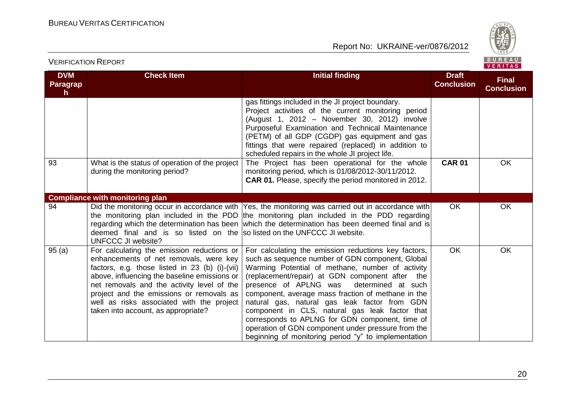

**DVM Paragrap h Check Item Initial finding Initial finding Draft Conclusion Final Conclusion** gas fittings included in the JI project boundary. Project activities of the current monitoring period (August 1, 2012 – November 30, 2012) involve Purposeful Examination and Technical Maintenance (PETM) of all GDP (CGDP) gas equipment and gas fittings that were repaired (replaced) in addition to scheduled repairs in the whole JI project life. 93 What is the status of operation of the project during the monitoring period? The Project has been operational for the whole monitoring period, which is 01/08/2012-30/11/2012. **CAR 01.** Please, specify the period monitored in 2012. **CAR 01** OK **Compliance with monitoring plan** 94 **Did the monitoring occur in accordance with** the monitoring plan included in the PDD regarding which the determination has been deemed final and is so listed on the solisted on the UNFCCC JI website. UNFCCC JI website? Yes, the monitoring was carried out in accordance with the monitoring plan included in the PDD regarding which the determination has been deemed final and is OK OK 95 (a) For calculating the emission reductions or enhancements of net removals, were key factors, e.g. those listed in 23 (b) (i)-(vii) above, influencing the baseline emissions or net removals and the activity level of the project and the emissions or removals as well as risks associated with the project taken into account, as appropriate? For calculating the emission reductions key factors, such as sequence number of GDN component, Global Warming Potential of methane, number of activity (replacement/repair) at GDN component after the presence of APLNG was determined at such component, average mass fraction of methane in the natural gas, natural gas leak factor from GDN component in CLS, natural gas leak factor that corresponds to APLNG for GDN component, time of operation of GDN component under pressure from the beginning of monitoring period "y" to implementation OK OK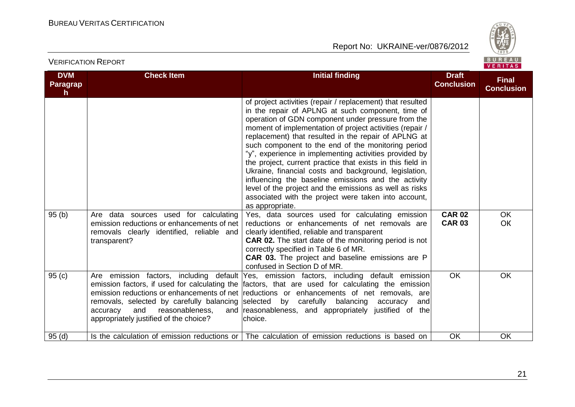

# VERIFICATION REPORT

| <b>DVM</b><br><b>Paragrap</b><br>$\mathsf{h}$ | <b>Check Item</b>                                                                                       | <b>Initial finding</b>                                                                                                                                                                                                                                                                                                                                                                                                                                                                                                                                                                                                                                                                                                                                                           | <b>Draft</b><br><b>Conclusion</b> | <b>Final</b><br><b>Conclusion</b> |
|-----------------------------------------------|---------------------------------------------------------------------------------------------------------|----------------------------------------------------------------------------------------------------------------------------------------------------------------------------------------------------------------------------------------------------------------------------------------------------------------------------------------------------------------------------------------------------------------------------------------------------------------------------------------------------------------------------------------------------------------------------------------------------------------------------------------------------------------------------------------------------------------------------------------------------------------------------------|-----------------------------------|-----------------------------------|
| 95(b)                                         | Are data sources used for calculating                                                                   | of project activities (repair / replacement) that resulted<br>in the repair of APLNG at such component, time of<br>operation of GDN component under pressure from the<br>moment of implementation of project activities (repair /<br>replacement) that resulted in the repair of APLNG at<br>such component to the end of the monitoring period<br>"y", experience in implementing activities provided by<br>the project, current practice that exists in this field in<br>Ukraine, financial costs and background, legislation,<br>influencing the baseline emissions and the activity<br>level of the project and the emissions as well as risks<br>associated with the project were taken into account,<br>as appropriate.<br>Yes, data sources used for calculating emission | <b>CAR 02</b>                     | <b>OK</b>                         |
|                                               | emission reductions or enhancements of net<br>removals clearly identified, reliable and<br>transparent? | reductions or enhancements of net removals are<br>clearly identified, reliable and transparent<br><b>CAR 02.</b> The start date of the monitoring period is not<br>correctly specified in Table 6 of MR.<br><b>CAR 03.</b> The project and baseline emissions are P<br>confused in Section D of MR.                                                                                                                                                                                                                                                                                                                                                                                                                                                                              | <b>CAR 03</b>                     | <b>OK</b>                         |
| 95(c)                                         | and<br>reasonableness,<br>accuracy<br>appropriately justified of the choice?                            | Are emission factors, including default Yes, emission factors, including default emission<br>emission factors, if used for calculating the factors, that are used for calculating the emission<br>emission reductions or enhancements of net reductions or enhancements of net removals, are<br>removals, selected by carefully balancing selected by carefully balancing accuracy<br>andl<br>and reasonableness, and appropriately justified of the<br>choice.                                                                                                                                                                                                                                                                                                                  | <b>OK</b>                         | <b>OK</b>                         |
| 95(d)                                         |                                                                                                         | Is the calculation of emission reductions or The calculation of emission reductions is based on                                                                                                                                                                                                                                                                                                                                                                                                                                                                                                                                                                                                                                                                                  | OK                                | OK                                |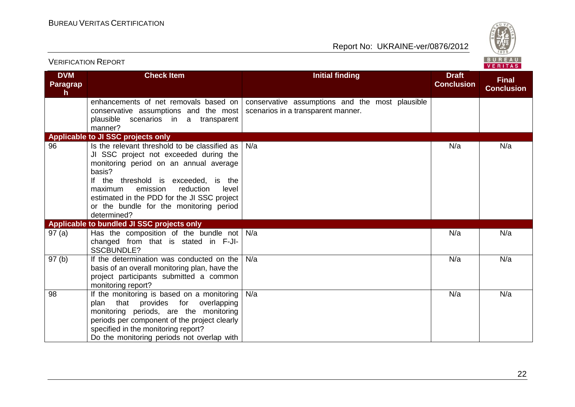

| <b>VERIFICATION REPORT</b>                 |                                                                                                                                                                                                                                                                                                                                           |                                                                                       |                                   | BUREAU<br>VERITAS                 |
|--------------------------------------------|-------------------------------------------------------------------------------------------------------------------------------------------------------------------------------------------------------------------------------------------------------------------------------------------------------------------------------------------|---------------------------------------------------------------------------------------|-----------------------------------|-----------------------------------|
| <b>DVM</b><br>Paragrap<br>$\mathbf h$      | <b>Check Item</b>                                                                                                                                                                                                                                                                                                                         | <b>Initial finding</b>                                                                | <b>Draft</b><br><b>Conclusion</b> | <b>Final</b><br><b>Conclusion</b> |
|                                            | enhancements of net removals based on<br>conservative assumptions and the most<br>plausible scenarios in a transparent<br>manner?                                                                                                                                                                                                         | conservative assumptions and the most plausible<br>scenarios in a transparent manner. |                                   |                                   |
|                                            | Applicable to JI SSC projects only                                                                                                                                                                                                                                                                                                        |                                                                                       |                                   |                                   |
| 96                                         | Is the relevant threshold to be classified as<br>JI SSC project not exceeded during the<br>monitoring period on an annual average<br>basis?<br>If the threshold is exceeded, is the<br>emission<br>reduction<br>maximum<br>level<br>estimated in the PDD for the JI SSC project<br>or the bundle for the monitoring period<br>determined? | N/a                                                                                   | N/a                               | N/a                               |
| Applicable to bundled JI SSC projects only |                                                                                                                                                                                                                                                                                                                                           |                                                                                       |                                   |                                   |
| 97(a)                                      | Has the composition of the bundle not $N/a$<br>changed from that is stated in F-JI-<br><b>SSCBUNDLE?</b>                                                                                                                                                                                                                                  |                                                                                       | N/a                               | N/a                               |
| 97(b)                                      | If the determination was conducted on the<br>basis of an overall monitoring plan, have the<br>project participants submitted a common<br>monitoring report?                                                                                                                                                                               | N/a                                                                                   | N/a                               | N/a                               |
| 98                                         | If the monitoring is based on a monitoring<br>plan that provides for overlapping<br>monitoring periods, are the monitoring<br>periods per component of the project clearly<br>specified in the monitoring report?<br>Do the monitoring periods not overlap with                                                                           | N/a                                                                                   | N/a                               | N/a                               |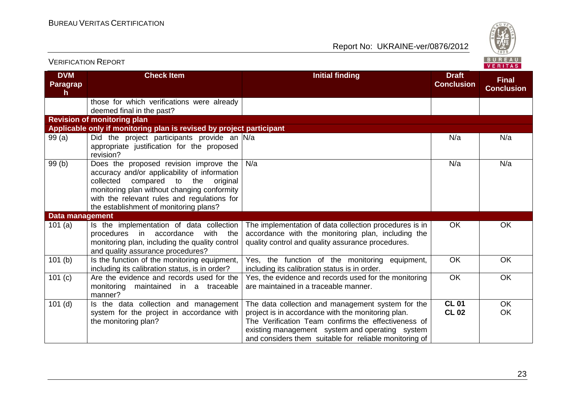

| <b>VERIFICATION REPORT</b>         |                                                                                                                                                                                                                                                                                  |                                                                                                                                                                                                                                                                             |                                   | BUREAU<br>VERITAS                 |
|------------------------------------|----------------------------------------------------------------------------------------------------------------------------------------------------------------------------------------------------------------------------------------------------------------------------------|-----------------------------------------------------------------------------------------------------------------------------------------------------------------------------------------------------------------------------------------------------------------------------|-----------------------------------|-----------------------------------|
| <b>DVM</b><br><b>Paragrap</b><br>h | <b>Check Item</b>                                                                                                                                                                                                                                                                | <b>Initial finding</b>                                                                                                                                                                                                                                                      | <b>Draft</b><br><b>Conclusion</b> | <b>Final</b><br><b>Conclusion</b> |
|                                    | those for which verifications were already<br>deemed final in the past?                                                                                                                                                                                                          |                                                                                                                                                                                                                                                                             |                                   |                                   |
|                                    | <b>Revision of monitoring plan</b>                                                                                                                                                                                                                                               |                                                                                                                                                                                                                                                                             |                                   |                                   |
|                                    | Applicable only if monitoring plan is revised by project participant                                                                                                                                                                                                             |                                                                                                                                                                                                                                                                             |                                   |                                   |
| 99(a)                              | Did the project participants provide an N/a<br>appropriate justification for the proposed<br>revision?                                                                                                                                                                           |                                                                                                                                                                                                                                                                             | N/a                               | N/a                               |
| 99(b)                              | Does the proposed revision improve the<br>accuracy and/or applicability of information<br>collected<br>compared<br>the<br>to<br>original<br>monitoring plan without changing conformity<br>with the relevant rules and regulations for<br>the establishment of monitoring plans? | N/a                                                                                                                                                                                                                                                                         | N/a                               | N/a                               |
| Data management                    |                                                                                                                                                                                                                                                                                  |                                                                                                                                                                                                                                                                             |                                   |                                   |
| 101(a)                             | Is the implementation of data collection<br>procedures<br>accordance<br>with<br>the<br>in<br>monitoring plan, including the quality control<br>and quality assurance procedures?                                                                                                 | The implementation of data collection procedures is in<br>accordance with the monitoring plan, including the<br>quality control and quality assurance procedures.                                                                                                           | <b>OK</b>                         | <b>OK</b>                         |
| 101(b)                             | Is the function of the monitoring equipment,<br>including its calibration status, is in order?                                                                                                                                                                                   | Yes, the function of the monitoring equipment,<br>including its calibration status is in order.                                                                                                                                                                             | OK                                | OK                                |
| 101(c)                             | Are the evidence and records used for the<br>monitoring<br>maintained in a traceable<br>manner?                                                                                                                                                                                  | Yes, the evidence and records used for the monitoring<br>are maintained in a traceable manner.                                                                                                                                                                              | <b>OK</b>                         | OK                                |
| $101$ (d)                          | Is the data collection and management<br>system for the project in accordance with<br>the monitoring plan?                                                                                                                                                                       | The data collection and management system for the<br>project is in accordance with the monitoring plan.<br>The Verification Team confirms the effectiveness of<br>existing management system and operating system<br>and considers them suitable for reliable monitoring of | <b>CL 01</b><br><b>CL 02</b>      | OK<br>OK                          |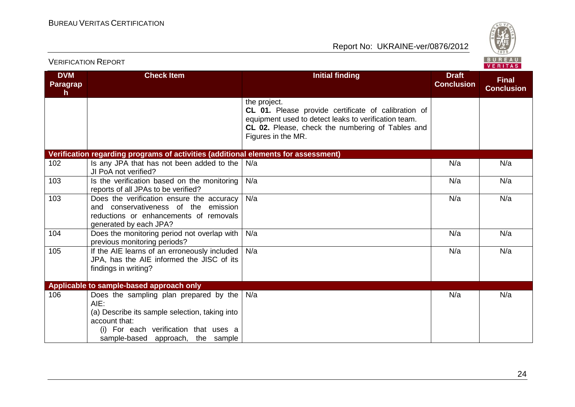

**DVM Paragrap h Check Item Initial finding Initial finding Draft Conclusion Final Conclusion** the project. **CL 01.** Please provide certificate of calibration of equipment used to detect leaks to verification team. **CL 02.** Please, check the numbering of Tables and Figures in the MR. **Verification regarding programs of activities (additional elements for assessment)** 102 Is any JPA that has not been added to the  $N/a$ JI PoA not verified? N/a N/a N/a 103 **Is the verification based on the monitoring** reports of all JPAs to be verified? N/a N/a N/a 103 Does the verification ensure the accuracy and conservativeness of the emission reductions or enhancements of removals generated by each JPA? N/a N/a N/a 104 Does the monitoring period not overlap with previous monitoring periods? N/a N/a N/a 105 If the AIE learns of an erroneously included JPA, has the AIE informed the JISC of its findings in writing? N/a N/a N/a **Applicable to sample-based approach only** 106 Does the sampling plan prepared by the N/a AIE: (a) Describe its sample selection, taking into account that: (i) For each verification that uses a sample-based approach, the sample N/a N/a N/a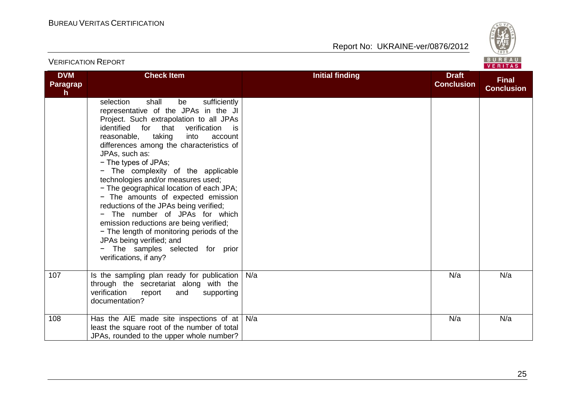

| <b>VERIFICATION REPORT</b>             |                                                                                                                                                                                                                                                                                                                                                                                                                                                                                                                                                                                                                                                                                                                                            |                        | BUREAU<br>VERITAS                 |                                   |
|----------------------------------------|--------------------------------------------------------------------------------------------------------------------------------------------------------------------------------------------------------------------------------------------------------------------------------------------------------------------------------------------------------------------------------------------------------------------------------------------------------------------------------------------------------------------------------------------------------------------------------------------------------------------------------------------------------------------------------------------------------------------------------------------|------------------------|-----------------------------------|-----------------------------------|
| <b>DVM</b><br>Paragrap<br>$\mathsf{h}$ | <b>Check Item</b>                                                                                                                                                                                                                                                                                                                                                                                                                                                                                                                                                                                                                                                                                                                          | <b>Initial finding</b> | <b>Draft</b><br><b>Conclusion</b> | <b>Final</b><br><b>Conclusion</b> |
|                                        | selection<br>shall<br>be<br>sufficiently<br>representative of the JPAs in the JI<br>Project. Such extrapolation to all JPAs<br>identified<br>for that<br>verification<br>is.<br>taking<br>reasonable,<br>into<br>account<br>differences among the characteristics of<br>JPAs, such as:<br>- The types of JPAs;<br>- The complexity of the applicable<br>technologies and/or measures used;<br>- The geographical location of each JPA;<br>- The amounts of expected emission<br>reductions of the JPAs being verified;<br>- The number of JPAs for which<br>emission reductions are being verified;<br>- The length of monitoring periods of the<br>JPAs being verified; and<br>- The samples selected for prior<br>verifications, if any? |                        |                                   |                                   |
| 107                                    | Is the sampling plan ready for publication<br>through the secretariat along with the<br>verification<br>report<br>supporting<br>and<br>documentation?                                                                                                                                                                                                                                                                                                                                                                                                                                                                                                                                                                                      | N/a                    | N/a                               | N/a                               |
| 108                                    | Has the AIE made site inspections of at<br>least the square root of the number of total<br>JPAs, rounded to the upper whole number?                                                                                                                                                                                                                                                                                                                                                                                                                                                                                                                                                                                                        | N/a                    | N/a                               | N/a                               |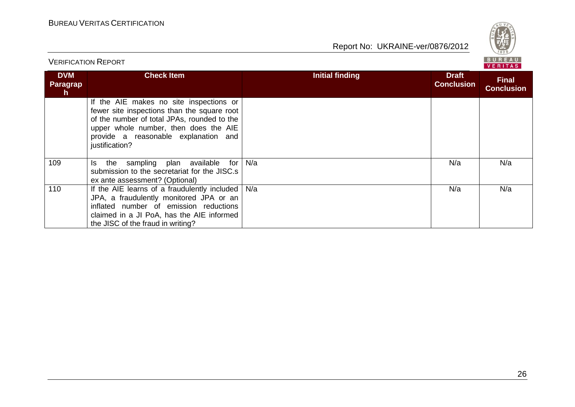

VERIFICATION REPORT **DVM Paragrap h Check Item Initial finding Initial finding Draft Draft Conclusion Final Conclusion** If the AIE makes no site inspections or fewer site inspections than the square root of the number of total JPAs, rounded to the upper whole number, then does the AIE provide a reasonable explanation and justification? 109 Is the sampling plan available for N/a submission to the secretariat for the JISC.s ex ante assessment? (Optional) N/a N/a N/a 110 **If the AIE learns of a fraudulently included** JPA, a fraudulently monitored JPA or an inflated number of emission reductions claimed in a JI PoA, has the AIE informed the JISC of the fraud in writing? N/a N/a N/a